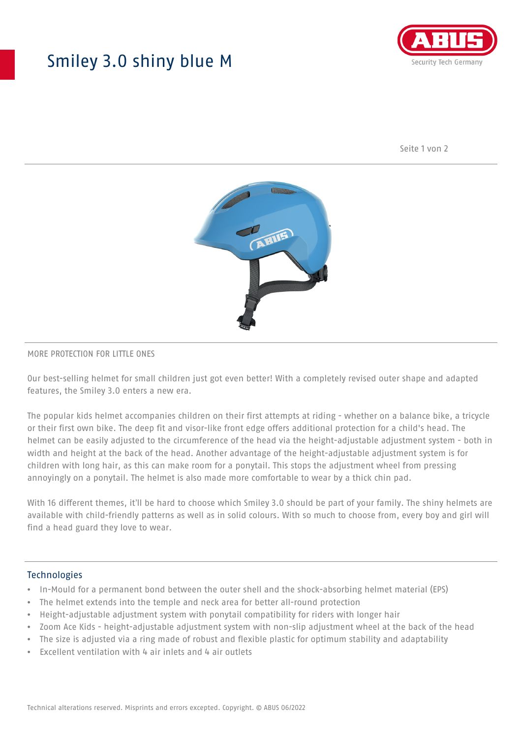## Smiley 3.0 shiny blue M



Seite 1 von 2



#### MORE PROTECTION FOR LITTLE ONES

Our best-selling helmet for small children just got even better! With a completely revised outer shape and adapted features, the Smiley 3.0 enters a new era.

The popular kids helmet accompanies children on their first attempts at riding - whether on a balance bike, a tricycle or their first own bike. The deep fit and visor-like front edge offers additional protection for a child's head. The helmet can be easily adjusted to the circumference of the head via the height-adjustable adjustment system - both in width and height at the back of the head. Another advantage of the height-adjustable adjustment system is for children with long hair, as this can make room for a ponytail. This stops the adjustment wheel from pressing annoyingly on a ponytail. The helmet is also made more comfortable to wear by a thick chin pad.

With 16 different themes, it'll be hard to choose which Smiley 3.0 should be part of your family. The shiny helmets are available with child-friendly patterns as well as in solid colours. With so much to choose from, every boy and girl will find a head guard they love to wear.

#### Technologies

- In-Mould for a permanent bond between the outer shell and the shock-absorbing helmet material (EPS)
- The helmet extends into the temple and neck area for better all-round protection
- Height-adjustable adjustment system with ponytail compatibility for riders with longer hair
- Zoom Ace Kids height-adjustable adjustment system with non-slip adjustment wheel at the back of the head
- The size is adjusted via a ring made of robust and flexible plastic for optimum stability and adaptability
- Excellent ventilation with 4 air inlets and 4 air outlets